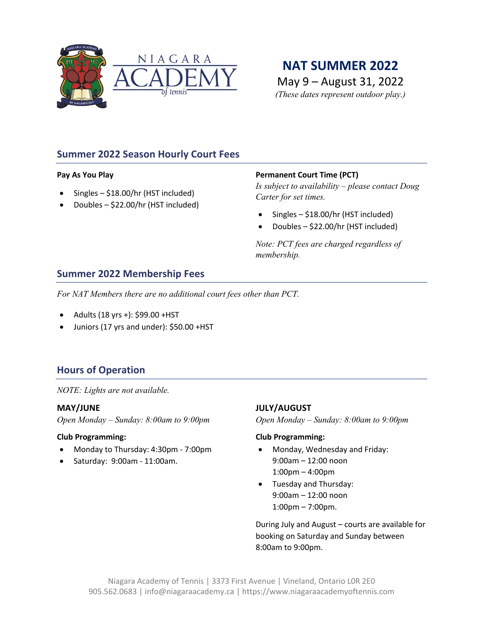

# **NAT SUMMER 2022**

May 9 – August 31, 2022 *(These dates represent outdoor play.)*

# **Summer 2022 Season Hourly Court Fees**

## **Pay As You Play**

- Singles \$18.00/hr (HST included)
- Doubles \$22.00/hr (HST included)

## **Permanent Court Time (PCT)**

*Is subject to availability – please contact Doug Carter for set times.*

- Singles \$18.00/hr (HST included)
- Doubles \$22.00/hr (HST included)

*Note: PCT fees are charged regardless of membership.*

## **Summer 2022 Membership Fees**

*For NAT Members there are no additional court fees other than PCT.*

- Adults (18 yrs +): \$99.00 +HST
- Juniors (17 yrs and under): \$50.00 +HST

## **Hours of Operation**

*NOTE: Lights are not available.*

## **MAY/JUNE**

*Open Monday – Sunday: 8:00am to 9:00pm*

## **Club Programming:**

- Monday to Thursday: 4:30pm 7:00pm
- Saturday: 9:00am 11:00am.

## **JULY/AUGUST**

*Open Monday – Sunday: 8:00am to 9:00pm*

#### **Club Programming:**

- Monday, Wednesday and Friday: 9:00am – 12:00 noon 1:00pm – 4:00pm
- Tuesday and Thursday: 9:00am – 12:00 noon 1:00pm – 7:00pm.

During July and August – courts are available for booking on Saturday and Sunday between 8:00am to 9:00pm.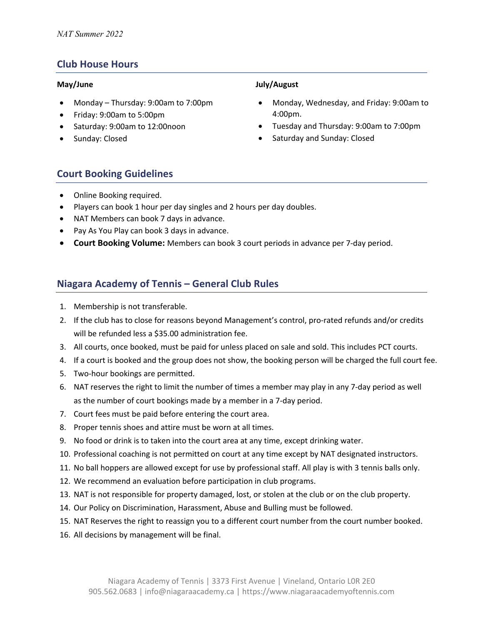## **Club House Hours**

#### **May/June**

- Monday Thursday: 9:00am to 7:00pm
- Friday: 9:00am to 5:00pm
- Saturday: 9:00am to 12:00noon
- Sunday: Closed

## **July/August**

- Monday, Wednesday, and Friday: 9:00am to 4:00pm.
- Tuesday and Thursday: 9:00am to 7:00pm
- Saturday and Sunday: Closed

## **Court Booking Guidelines**

- Online Booking required.
- Players can book 1 hour per day singles and 2 hours per day doubles.
- NAT Members can book 7 days in advance.
- Pay As You Play can book 3 days in advance.
- **Court Booking Volume:** Members can book 3 court periods in advance per 7-day period.

## **Niagara Academy of Tennis – General Club Rules**

- 1. Membership is not transferable.
- 2. If the club has to close for reasons beyond Management's control, pro-rated refunds and/or credits will be refunded less a \$35.00 administration fee.
- 3. All courts, once booked, must be paid for unless placed on sale and sold. This includes PCT courts.
- 4. If a court is booked and the group does not show, the booking person will be charged the full court fee.
- 5. Two-hour bookings are permitted.
- 6. NAT reserves the right to limit the number of times a member may play in any 7-day period as well as the number of court bookings made by a member in a 7-day period.
- 7. Court fees must be paid before entering the court area.
- 8. Proper tennis shoes and attire must be worn at all times.
- 9. No food or drink is to taken into the court area at any time, except drinking water.
- 10. Professional coaching is not permitted on court at any time except by NAT designated instructors.
- 11. No ball hoppers are allowed except for use by professional staff. All play is with 3 tennis balls only.
- 12. We recommend an evaluation before participation in club programs.
- 13. NAT is not responsible for property damaged, lost, or stolen at the club or on the club property.
- 14. Our Policy on Discrimination, Harassment, Abuse and Bulling must be followed.
- 15. NAT Reserves the right to reassign you to a different court number from the court number booked.
- 16. All decisions by management will be final.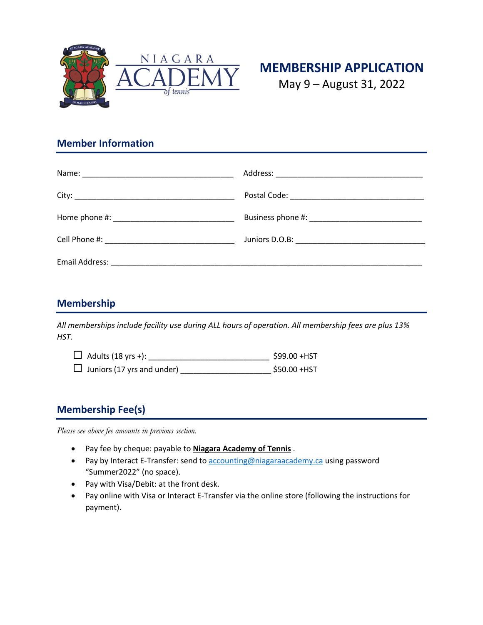



May 9 – August 31, 2022

# **Member Information**

| Email Address: 2008. 2009. 2009. 2010. 2010. 2010. 2010. 2010. 2010. 2010. 2010. 2010. 2010. 2010. 2010. 2010 |  |
|---------------------------------------------------------------------------------------------------------------|--|

# **Membership**

*All memberships include facility use during ALL hours of operation. All membership fees are plus 13% HST.*

| $\Box$ Adults (18 yrs +):         | \$99.00 +HST |
|-----------------------------------|--------------|
| $\Box$ Juniors (17 yrs and under) | \$50.00 +HST |

# **Membership Fee(s)**

*Please see above fee amounts in previous section.*

- Pay fee by cheque: payable to **Niagara Academy of Tennis** .
- Pay by Interact E-Transfer: send to accounting@niagaraacademy.ca using password "Summer2022" (no space).
- Pay with Visa/Debit: at the front desk.
- Pay online with Visa or Interact E-Transfer via the online store (following the instructions for payment).